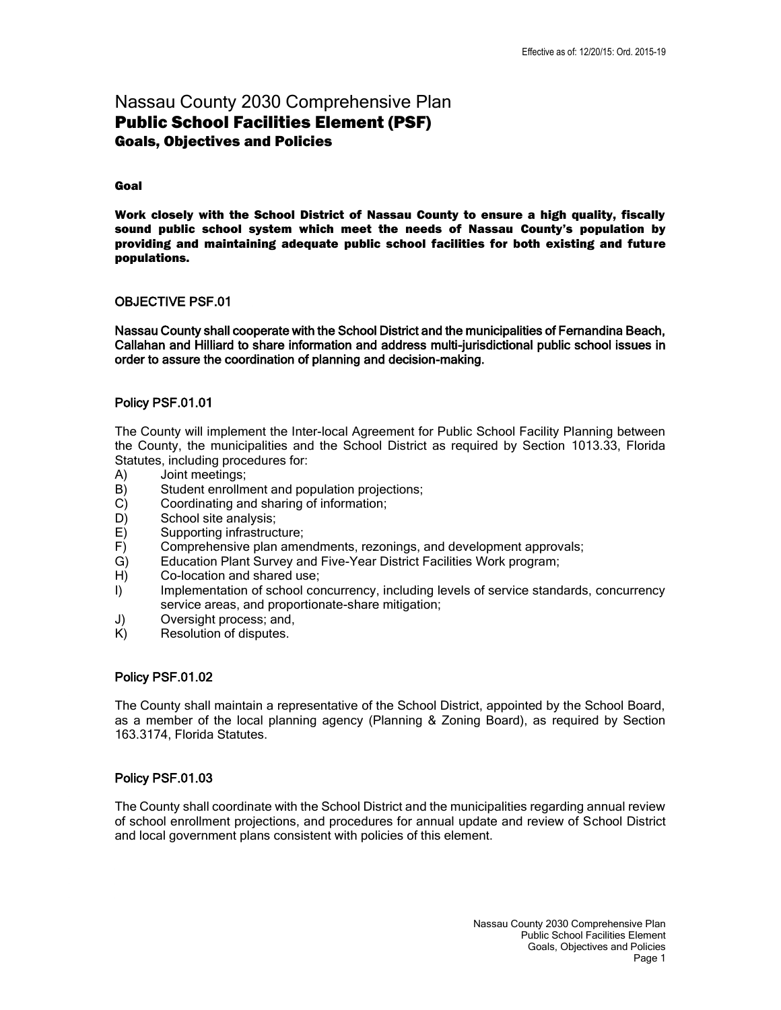# Nassau County 2030 Comprehensive Plan Public School Facilities Element (PSF) Goals, Objectives and Policies

### Goal

 Work closely with the School District of Nassau County to ensure a high quality, fiscally sound public school system which meet the needs of Nassau County's population by providing and maintaining adequate public school facilities for both existing and future populations.

### OBJECTIVE PSF.01

 Nassau County shall cooperate with the School District and the municipalities of Fernandina Beach, Callahan and Hilliard to share information and address multi-jurisdictional public school issues in order to assure the coordination of planning and decision-making.

# Policy PSF.01.01

 The County will implement the Inter-local Agreement for Public School Facility Planning between the County, the municipalities and the School District as required by Section 1013.33, Florida Statutes, including procedures for:

- A) Joint meetings;
- B) Student enrollment and population projections;
- C) Coordinating and sharing of information;
- D) School site analysis;
- E) Supporting infrastructure;
- F) Comprehensive plan amendments, rezonings, and development approvals;
- G) Education Plant Survey and Five-Year District Facilities Work program;
- H) Co-location and shared use;
- I) Implementation of school concurrency, including levels of service standards, concurrency service areas, and proportionate-share mitigation;
- J) Oversight process; and,
- K) Resolution of disputes.

# Policy PSF.01.02

The County shall maintain a representative of the School District, appointed by the School Board, as a member of the local planning agency (Planning & Zoning Board), as required by Section 163.3174, Florida Statutes.

# Policy PSF.01.03

 The County shall coordinate with the School District and the municipalities regarding annual review of school enrollment projections, and procedures for annual update and review of School District and local government plans consistent with policies of this element.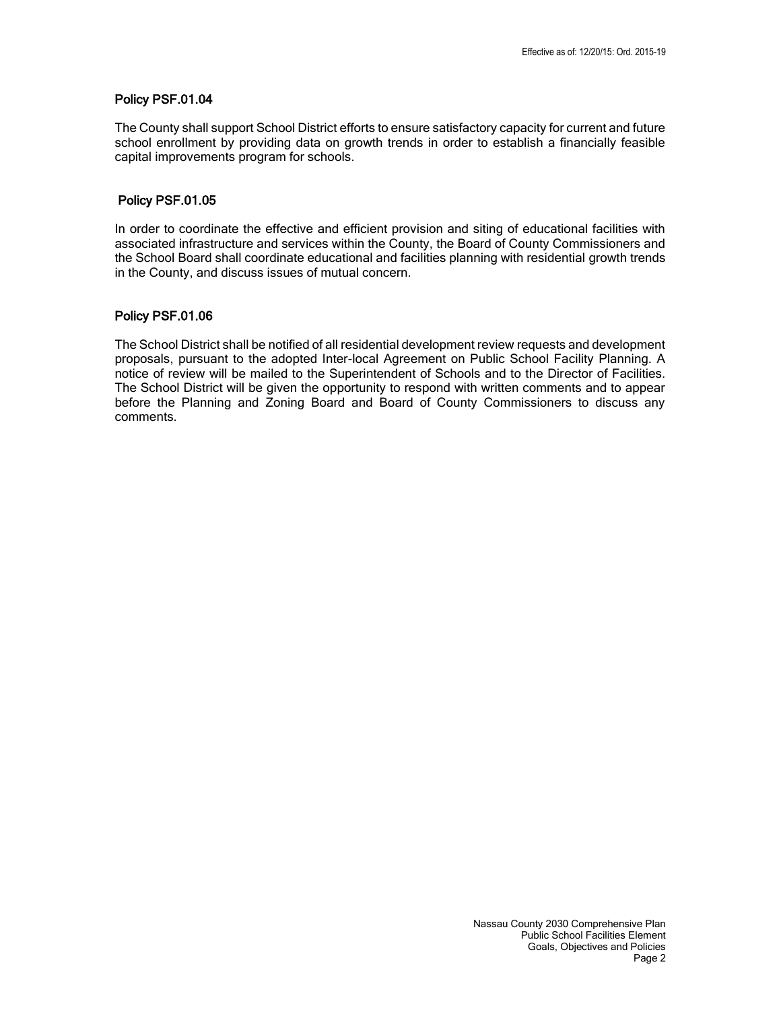### Policy PSF.01.04

 The County shall support School District efforts to ensure satisfactory capacity for current and future school enrollment by providing data on growth trends in order to establish a financially feasible capital improvements program for schools.

## Policy PSF.01.05

 In order to coordinate the effective and efficient provision and siting of educational facilities with associated infrastructure and services within the County, the Board of County Commissioners and the School Board shall coordinate educational and facilities planning with residential growth trends in the County, and discuss issues of mutual concern.

# Policy PSF.01.06

 The School District shall be notified of all residential development review requests and development proposals, pursuant to the adopted Inter-local Agreement on Public School Facility Planning. A notice of review will be mailed to the Superintendent of Schools and to the Director of Facilities. The School District will be given the opportunity to respond with written comments and to appear before the Planning and Zoning Board and Board of County Commissioners to discuss any comments.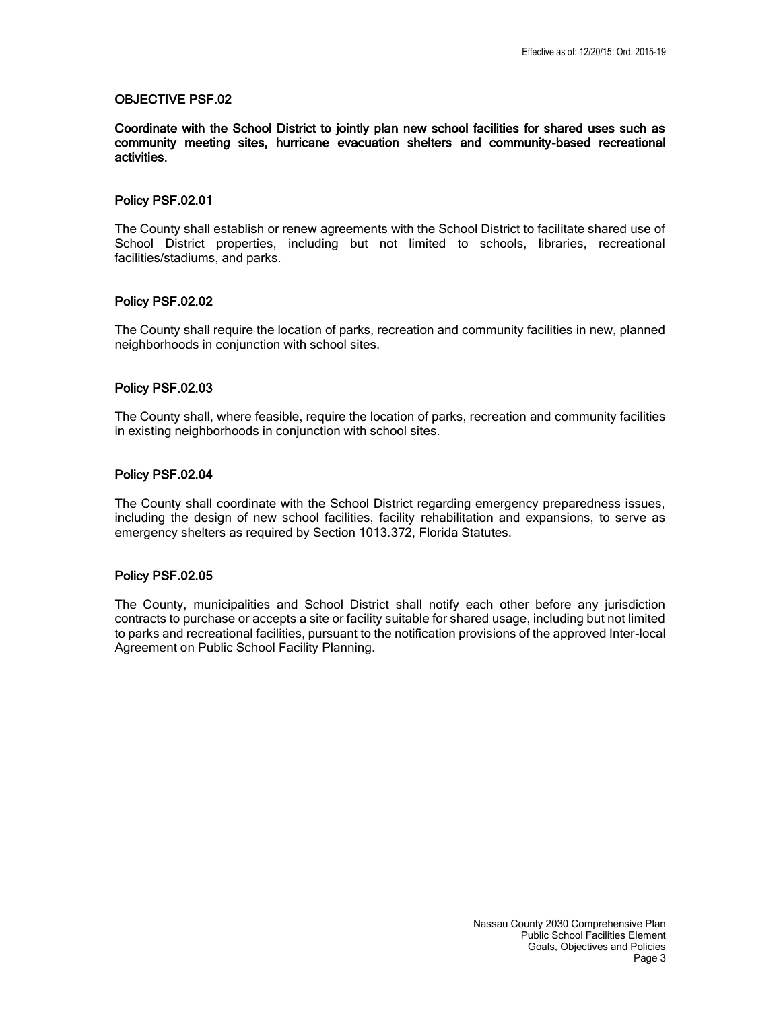Coordinate with the School District to jointly plan new school facilities for shared uses such as community meeting sites, hurricane evacuation shelters and community-based recreational activities.

### Policy PSF.02.01

The County shall establish or renew agreements with the School District to facilitate shared use of School District properties, including but not limited to schools, libraries, recreational facilities/stadiums, and parks.

### Policy PSF.02.02

 The County shall require the location of parks, recreation and community facilities in new, planned neighborhoods in conjunction with school sites.

### Policy PSF.02.03

 The County shall, where feasible, require the location of parks, recreation and community facilities in existing neighborhoods in conjunction with school sites.

### Policy PSF.02.04

The County shall coordinate with the School District regarding emergency preparedness issues, including the design of new school facilities, facility rehabilitation and expansions, to serve as emergency shelters as required by Section 1013.372, Florida Statutes.

### Policy PSF.02.05

 The County, municipalities and School District shall notify each other before any jurisdiction contracts to purchase or accepts a site or facility suitable for shared usage, including but not limited to parks and recreational facilities, pursuant to the notification provisions of the approved Inter-local Agreement on Public School Facility Planning.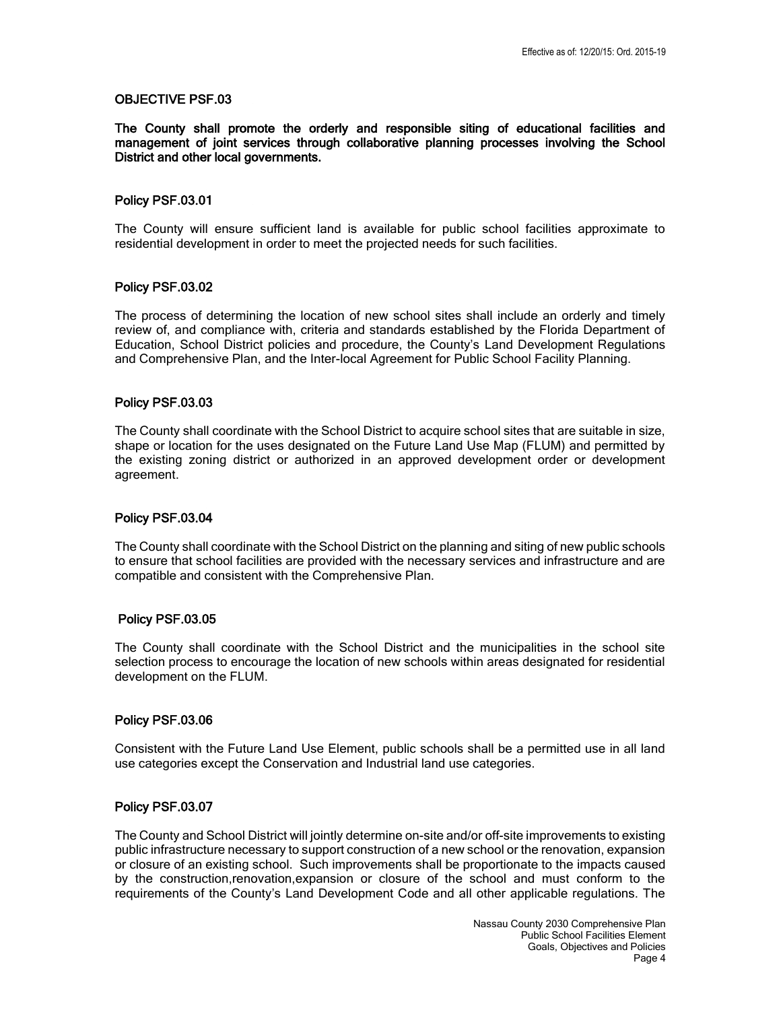The County shall promote the orderly and responsible siting of educational facilities and management of joint services through collaborative planning processes involving the School District and other local governments.

### Policy PSF.03.01

 The County will ensure sufficient land is available for public school facilities approximate to residential development in order to meet the projected needs for such facilities.

### Policy PSF.03.02

 The process of determining the location of new school sites shall include an orderly and timely review of, and compliance with, criteria and standards established by the Florida Department of Education, School District policies and procedure, the County's Land Development Regulations and Comprehensive Plan, and the Inter-local Agreement for Public School Facility Planning.

### Policy PSF.03.03

 The County shall coordinate with the School District to acquire school sites that are suitable in size, shape or location for the uses designated on the Future Land Use Map (FLUM) and permitted by the existing zoning district or authorized in an approved development order or development agreement.

#### Policy PSF.03.04

 The County shall coordinate with the School District on the planning and siting of new public schools to ensure that school facilities are provided with the necessary services and infrastructure and are compatible and consistent with the Comprehensive Plan.

#### Policy PSF.03.05

 The County shall coordinate with the School District and the municipalities in the school site selection process to encourage the location of new schools within areas designated for residential development on the FLUM.

### Policy PSF.03.06

 Consistent with the Future Land Use Element, public schools shall be a permitted use in all land use categories except the Conservation and Industrial land use categories.

### Policy PSF.03.07

 The County and School District will jointly determine on-site and/or off-site improvements to existing public infrastructure necessary to support construction of a new school or the renovation, expansion or closure of an existing school. Such improvements shall be proportionate to the impacts caused by the construction,renovation,expansion or closure of the school and must conform to the requirements of the County's Land Development Code and all other applicable regulations. The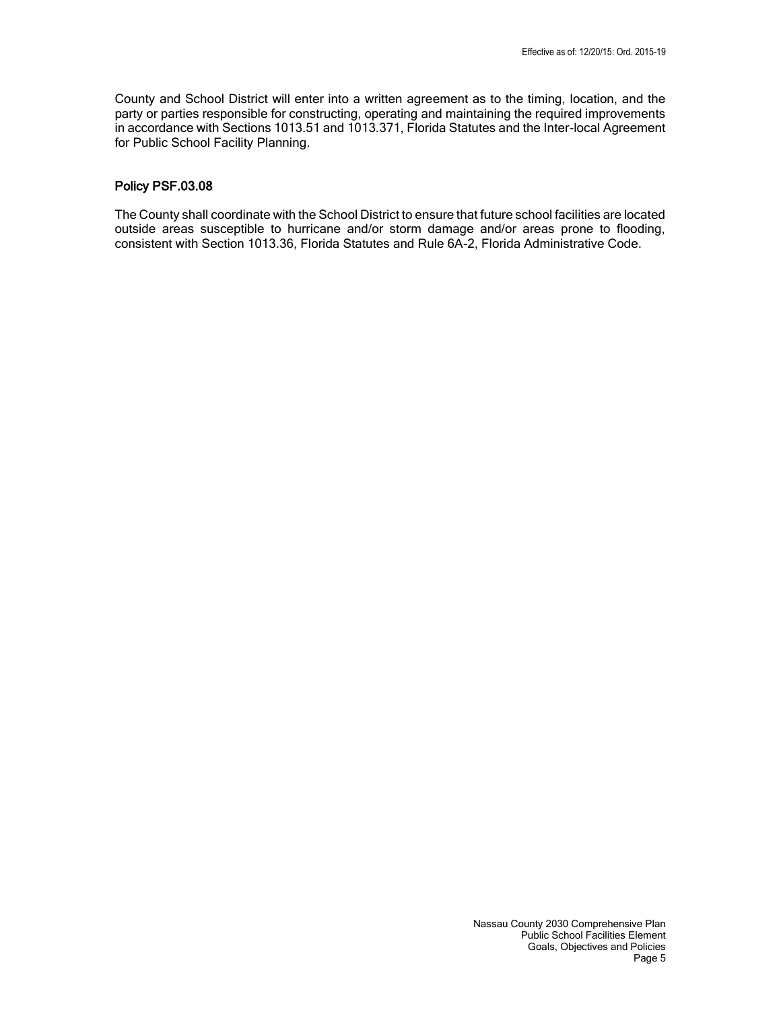County and School District will enter into a written agreement as to the timing, location, and the party or parties responsible for constructing, operating and maintaining the required improvements in accordance with Sections 1013.51 and 1013.371, Florida Statutes and the Inter-local Agreement for Public School Facility Planning.

# Policy PSF.03.08

 The County shall coordinate with the School District to ensure that future school facilities are located outside areas susceptible to hurricane and/or storm damage and/or areas prone to flooding, consistent with Section 1013.36, Florida Statutes and Rule 6A-2, Florida Administrative Code.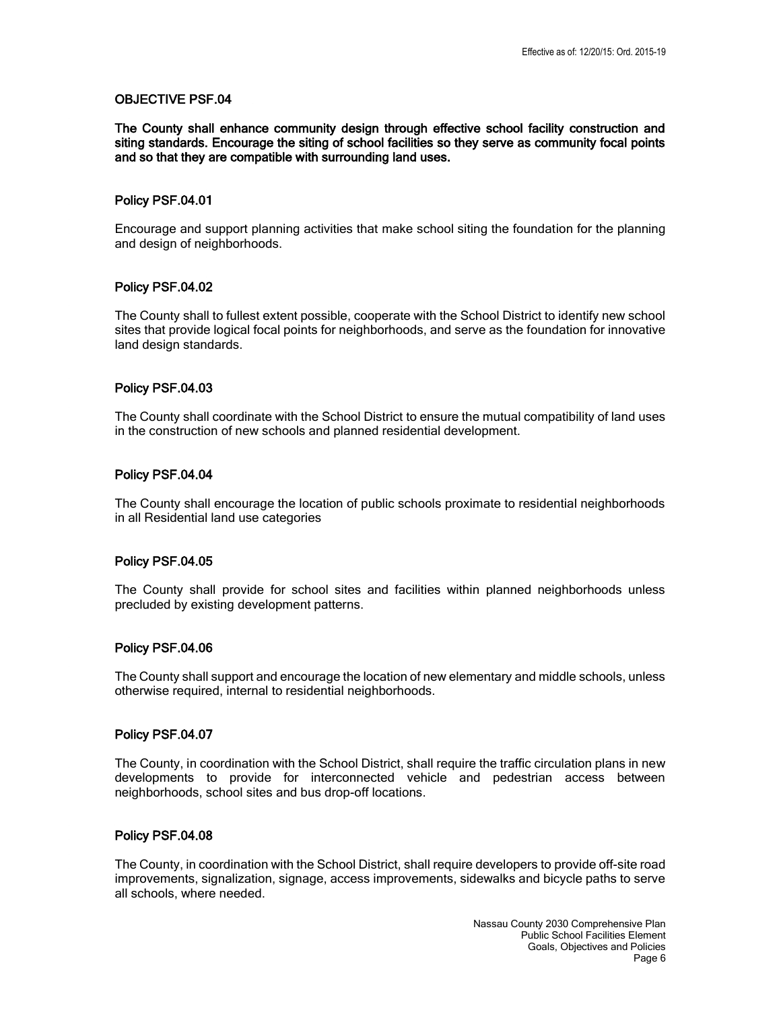The County shall enhance community design through effective school facility construction and siting standards. Encourage the siting of school facilities so they serve as community focal points and so that they are compatible with surrounding land uses.

#### Policy PSF.04.01

 Encourage and support planning activities that make school siting the foundation for the planning and design of neighborhoods.

### Policy PSF.04.02

 The County shall to fullest extent possible, cooperate with the School District to identify new school sites that provide logical focal points for neighborhoods, and serve as the foundation for innovative land design standards.

### Policy PSF.04.03

 The County shall coordinate with the School District to ensure the mutual compatibility of land uses in the construction of new schools and planned residential development.

### Policy PSF.04.04

 The County shall encourage the location of public schools proximate to residential neighborhoods in all Residential land use categories

#### Policy PSF.04.05

 The County shall provide for school sites and facilities within planned neighborhoods unless precluded by existing development patterns.

#### Policy PSF.04.06

 The County shall support and encourage the location of new elementary and middle schools, unless otherwise required, internal to residential neighborhoods.

#### Policy PSF.04.07

 The County, in coordination with the School District, shall require the traffic circulation plans in new developments to provide for interconnected vehicle and pedestrian access between neighborhoods, school sites and bus drop-off locations.

#### Policy PSF.04.08

 The County, in coordination with the School District, shall require developers to provide off-site road improvements, signalization, signage, access improvements, sidewalks and bicycle paths to serve all schools, where needed.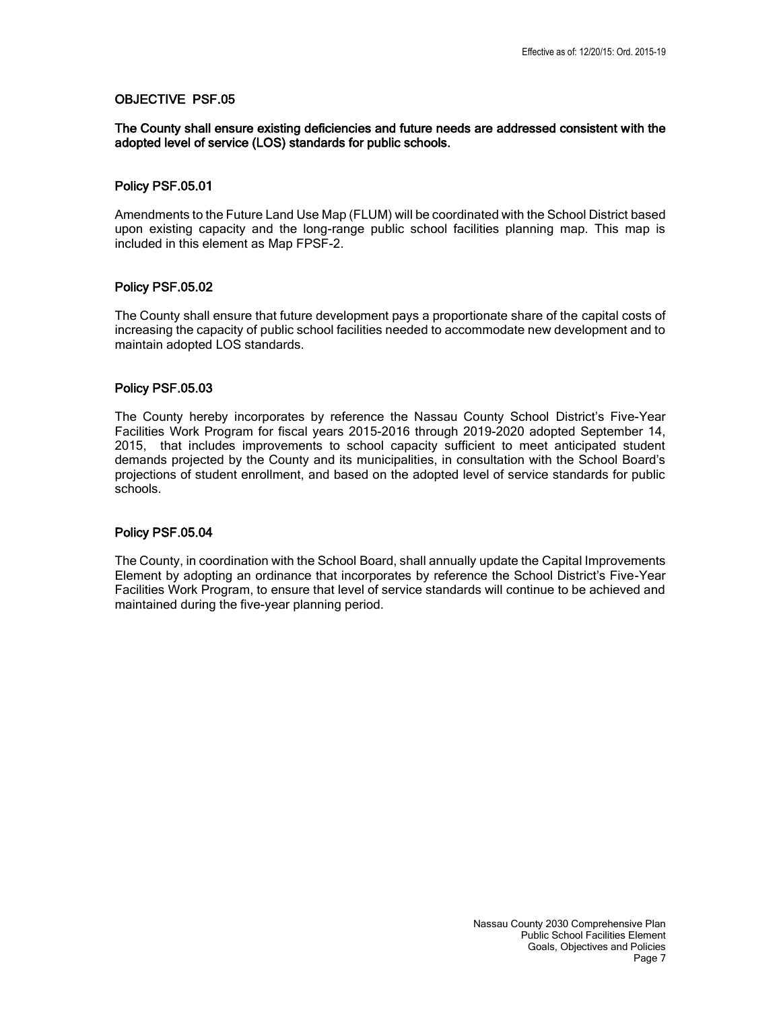### The County shall ensure existing deficiencies and future needs are addressed consistent with the adopted level of service (LOS) standards for public schools.

### Policy PSF.05.01

 Amendments to the Future Land Use Map (FLUM) will be coordinated with the School District based upon existing capacity and the long-range public school facilities planning map. This map is included in this element as Map FPSF-2.

### Policy PSF.05.02

 The County shall ensure that future development pays a proportionate share of the capital costs of increasing the capacity of public school facilities needed to accommodate new development and to maintain adopted LOS standards.

#### Policy PSF.05.03

 The County hereby incorporates by reference the Nassau County School District's Five-Year Facilities Work Program for fiscal years 2015-2016 through 2019-2020 adopted September 14, 2015, that includes improvements to school capacity sufficient to meet anticipated student demands projected by the County and its municipalities, in consultation with the School Board's projections of student enrollment, and based on the adopted level of service standards for public schools.

### Policy PSF.05.04

The County, in coordination with the School Board, shall annually update the Capital Improvements Element by adopting an ordinance that incorporates by reference the School District's Five-Year Facilities Work Program, to ensure that level of service standards will continue to be achieved and maintained during the five-year planning period.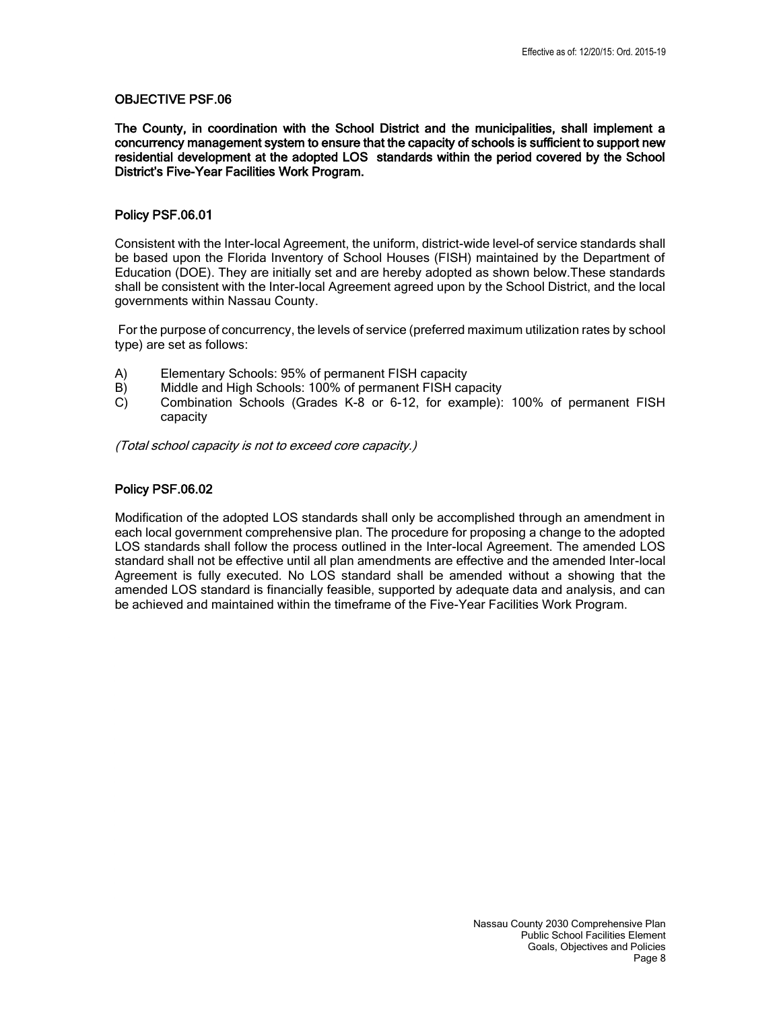The County, in coordination with the School District and the municipalities, shall implement a concurrency management system to ensure that the capacity of schools is sufficient to support new residential development at the adopted LOS standards within the period covered by the School District's Five-Year Facilities Work Program.

### Policy PSF.06.01

 Consistent with the Inter-local Agreement, the uniform, district-wide level-of service standards shall be based upon the Florida Inventory of School Houses (FISH) maintained by the Department of Education (DOE). They are initially set and are hereby adopted as shown below.These standards shall be consistent with the Inter-local Agreement agreed upon by the School District, and the local governments within Nassau County.

For the purpose of concurrency, the levels of service (preferred maximum utilization rates by school type) are set as follows:

- A) Elementary Schools: 95% of permanent FISH capacity
- B) Middle and High Schools: 100% of permanent FISH capacity
- C) Combination Schools (Grades K-8 or 6-12, for example): 100% of permanent FISH capacity

(Total school capacity is not to exceed core capacity.)

### Policy PSF.06.02

 Modification of the adopted LOS standards shall only be accomplished through an amendment in each local government comprehensive plan. The procedure for proposing a change to the adopted LOS standards shall follow the process outlined in the Inter-local Agreement. The amended LOS standard shall not be effective until all plan amendments are effective and the amended Inter-local Agreement is fully executed. No LOS standard shall be amended without a showing that the amended LOS standard is financially feasible, supported by adequate data and analysis, and can be achieved and maintained within the timeframe of the Five-Year Facilities Work Program.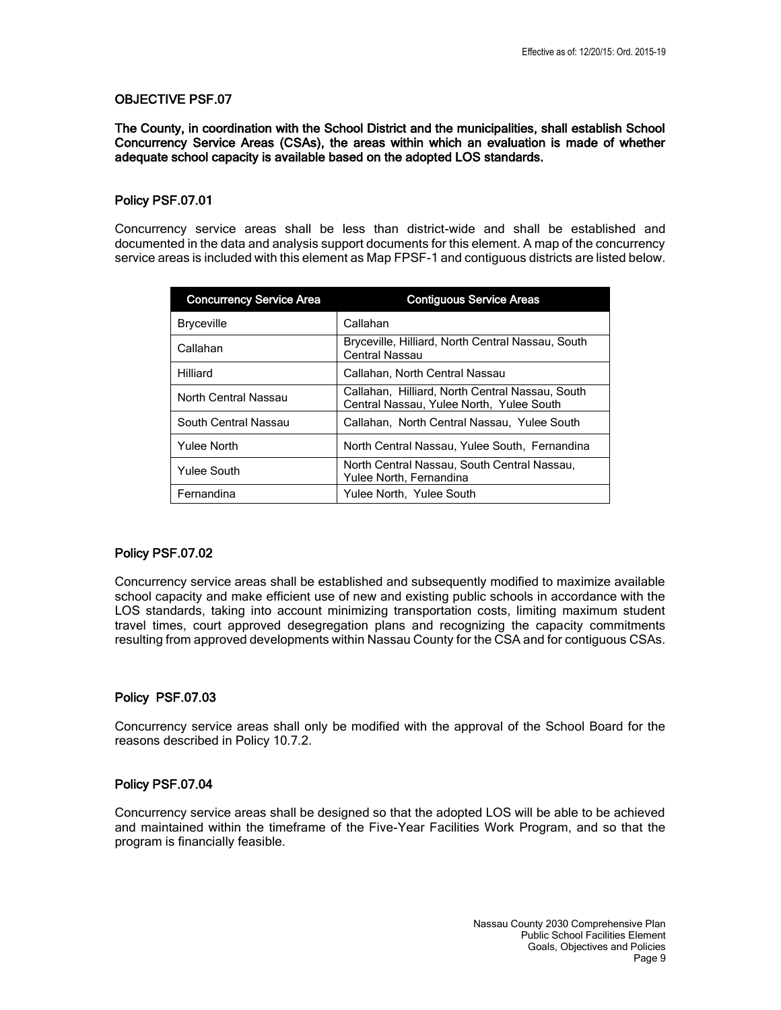The County, in coordination with the School District and the municipalities, shall establish School Concurrency Service Areas (CSAs), the areas within which an evaluation is made of whether adequate school capacity is available based on the adopted LOS standards.

### Policy PSF.07.01

 Concurrency service areas shall be less than district-wide and shall be established and documented in the data and analysis support documents for this element. A map of the concurrency service areas is included with this element as Map FPSF-1 and contiguous districts are listed below.

| <b>Concurrency Service Area</b> | <b>Contiguous Service Areas</b>                                                             |
|---------------------------------|---------------------------------------------------------------------------------------------|
| <b>Bryceville</b>               | Callahan                                                                                    |
| Callahan                        | Bryceville, Hilliard, North Central Nassau, South<br>Central Nassau                         |
| Hilliard                        | Callahan, North Central Nassau                                                              |
| North Central Nassau            | Callahan, Hilliard, North Central Nassau, South<br>Central Nassau, Yulee North, Yulee South |
| South Central Nassau            | Callahan, North Central Nassau, Yulee South                                                 |
| Yulee North                     | North Central Nassau, Yulee South, Fernandina                                               |
| <b>Yulee South</b>              | North Central Nassau, South Central Nassau,<br>Yulee North, Fernandina                      |
| Fernandina                      | Yulee North, Yulee South                                                                    |

#### Policy PSF.07.02

 Concurrency service areas shall be established and subsequently modified to maximize available school capacity and make efficient use of new and existing public schools in accordance with the LOS standards, taking into account minimizing transportation costs, limiting maximum student travel times, court approved desegregation plans and recognizing the capacity commitments resulting from approved developments within Nassau County for the CSA and for contiguous CSAs.

### Policy PSF.07.03

 Concurrency service areas shall only be modified with the approval of the School Board for the reasons described in Policy 10.7.2.

#### Policy PSF.07.04

 Concurrency service areas shall be designed so that the adopted LOS will be able to be achieved and maintained within the timeframe of the Five-Year Facilities Work Program, and so that the program is financially feasible.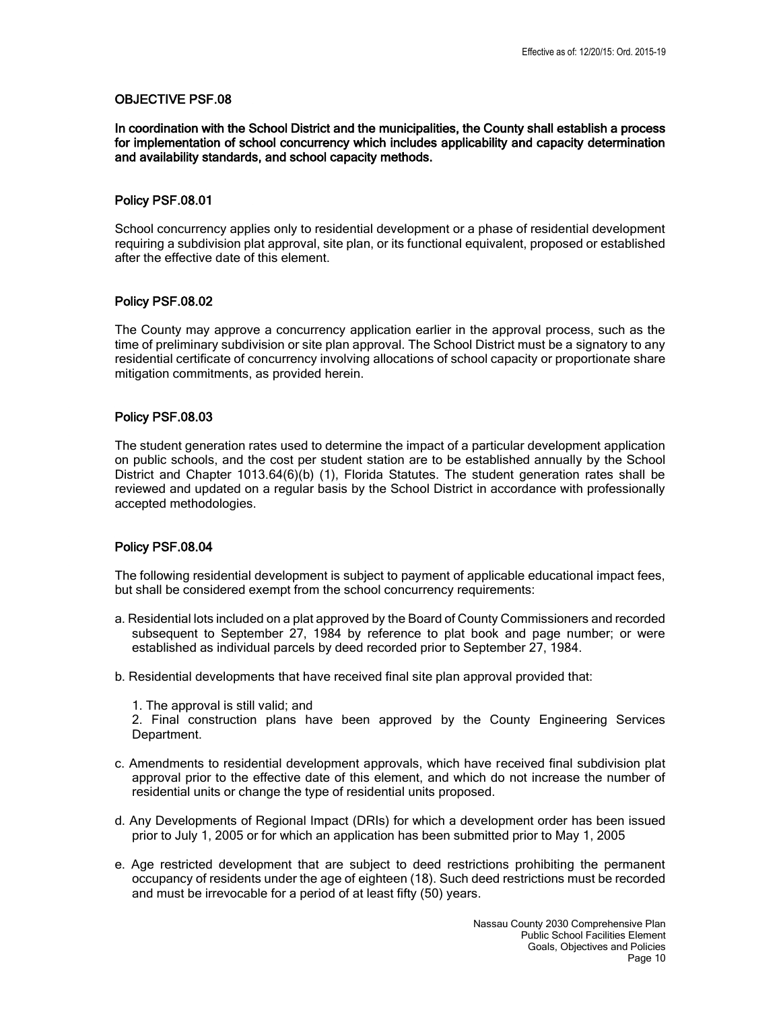In coordination with the School District and the municipalities, the County shall establish a process for implementation of school concurrency which includes applicability and capacity determination and availability standards, and school capacity methods.

#### Policy PSF.08.01

 School concurrency applies only to residential development or a phase of residential development requiring a subdivision plat approval, site plan, or its functional equivalent, proposed or established after the effective date of this element.

### Policy PSF.08.02

 The County may approve a concurrency application earlier in the approval process, such as the time of preliminary subdivision or site plan approval. The School District must be a signatory to any residential certificate of concurrency involving allocations of school capacity or proportionate share mitigation commitments, as provided herein.

### Policy PSF.08.03

 The student generation rates used to determine the impact of a particular development application on public schools, and the cost per student station are to be established annually by the School District and Chapter 1013.64(6)(b) (1), Florida Statutes. The student generation rates shall be reviewed and updated on a regular basis by the School District in accordance with professionally accepted methodologies.

### Policy PSF.08.04

 The following residential development is subject to payment of applicable educational impact fees, but shall be considered exempt from the school concurrency requirements:

- a. Residential lots included on a plat approved by the Board of County Commissioners and recorded subsequent to September 27, 1984 by reference to plat book and page number; or were established as individual parcels by deed recorded prior to September 27, 1984.
- b. Residential developments that have received final site plan approval provided that:
	- 1. The approval is still valid; and

2. Final construction plans have been approved by the County Engineering Services Department.

- c. Amendments to residential development approvals, which have received final subdivision plat approval prior to the effective date of this element, and which do not increase the number of residential units or change the type of residential units proposed.
- d. Any Developments of Regional Impact (DRIs) for which a development order has been issued prior to July 1, 2005 or for which an application has been submitted prior to May 1, 2005
- e. Age restricted development that are subject to deed restrictions prohibiting the permanent occupancy of residents under the age of eighteen (18). Such deed restrictions must be recorded and must be irrevocable for a period of at least fifty (50) years.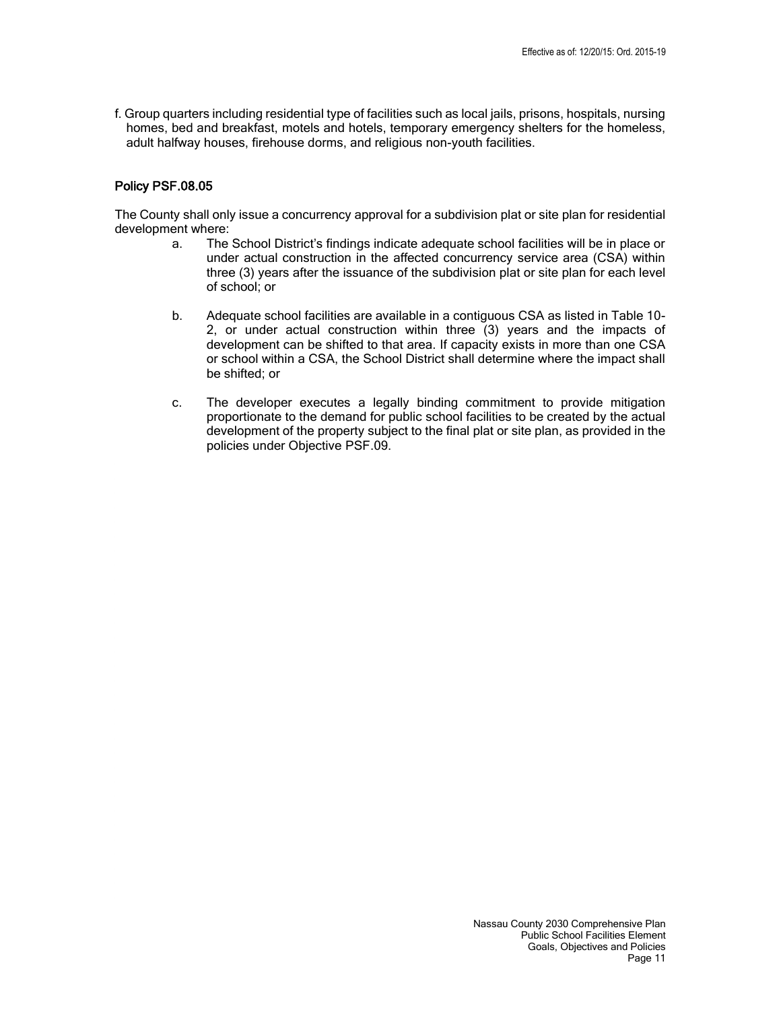f. Group quarters including residential type of facilities such as local jails, prisons, hospitals, nursing homes, bed and breakfast, motels and hotels, temporary emergency shelters for the homeless, adult halfway houses, firehouse dorms, and religious non-youth facilities.

### Policy PSF.08.05

 The County shall only issue a concurrency approval for a subdivision plat or site plan for residential development where:

- a. The School District's findings indicate adequate school facilities will be in place or under actual construction in the affected concurrency service area (CSA) within three (3) years after the issuance of the subdivision plat or site plan for each level of school; or
- b. Adequate school facilities are available in a contiguous CSA as listed in Table 10- 2, or under actual construction within three (3) years and the impacts of development can be shifted to that area. If capacity exists in more than one CSA or school within a CSA, the School District shall determine where the impact shall be shifted; or
- c. The developer executes a legally binding commitment to provide mitigation proportionate to the demand for public school facilities to be created by the actual development of the property subject to the final plat or site plan, as provided in the policies under Objective PSF.09.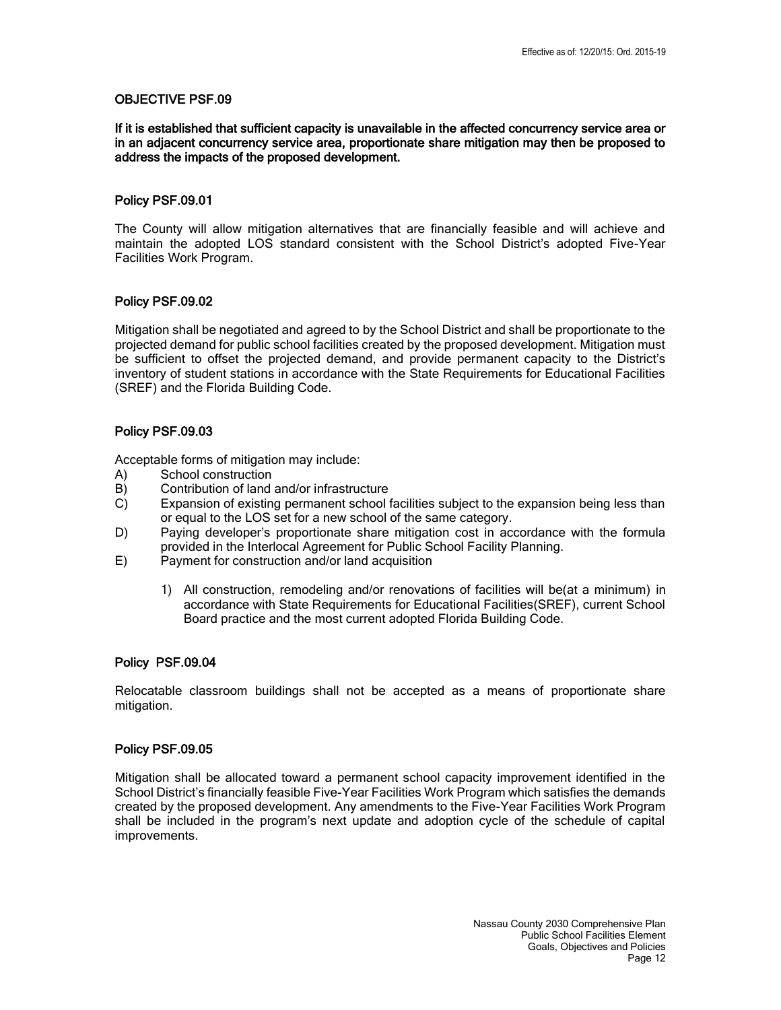### If it is established that sufficient capacity is unavailable in the affected concurrency service area or in an adjacent concurrency service area, proportionate share mitigation may then be proposed to address the impacts of the proposed development.

### Policy PSF.09.01

 The County will allow mitigation alternatives that are financially feasible and will achieve and maintain the adopted LOS standard consistent with the School District's adopted Five-Year Facilities Work Program.

# Policy PSF.09.02

 Mitigation shall be negotiated and agreed to by the School District and shall be proportionate to the projected demand for public school facilities created by the proposed development. Mitigation must be sufficient to offset the projected demand, and provide permanent capacity to the District's inventory of student stations in accordance with the State Requirements for Educational Facilities (SREF) and the Florida Building Code.

# Policy PSF.09.03

Acceptable forms of mitigation may include:

- A) School construction
- B) Contribution of land and/or infrastructure
- C) Expansion of existing permanent school facilities subject to the expansion being less than or equal to the LOS set for a new school of the same category.
- D) Paying developer's proportionate share mitigation cost in accordance with the formula provided in the Interlocal Agreement for Public School Facility Planning.
- E) Payment for construction and/or land acquisition
	- 1) All construction, remodeling and/or renovations of facilities will be(at a minimum) in accordance with State Requirements for Educational Facilities(SREF), current School Board practice and the most current adopted Florida Building Code.

### Policy PSF.09.04

 Relocatable classroom buildings shall not be accepted as a means of proportionate share mitigation.

### Policy PSF.09.05

 Mitigation shall be allocated toward a permanent school capacity improvement identified in the School District's financially feasible Five-Year Facilities Work Program which satisfies the demands created by the proposed development. Any amendments to the Five-Year Facilities Work Program shall be included in the program's next update and adoption cycle of the schedule of capital improvements.